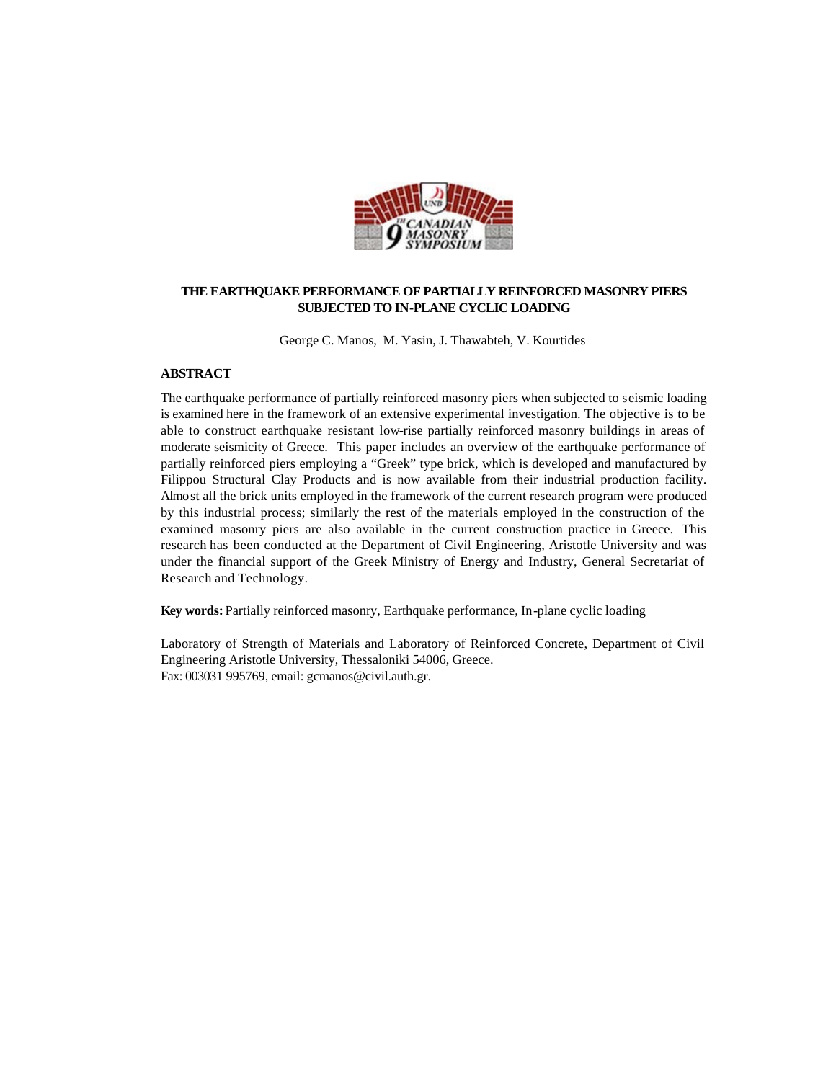

# **THE EARTHQUAKE PERFORMANCE OF PARTIALLY REINFORCED MASONRY PIERS SUBJECTED TO IN-PLANE CYCLIC LOADING**

George C. Manos, M. Yasin, J. Thawabteh, V. Kourtides

## **ABSTRACT**

The earthquake performance of partially reinforced masonry piers when subjected to seismic loading is examined here in the framework of an extensive experimental investigation. The objective is to be able to construct earthquake resistant low-rise partially reinforced masonry buildings in areas of moderate seismicity of Greece. This paper includes an overview of the earthquake performance of partially reinforced piers employing a "Greek" type brick, which is developed and manufactured by Filippou Structural Clay Products and is now available from their industrial production facility. Almost all the brick units employed in the framework of the current research program were produced by this industrial process; similarly the rest of the materials employed in the construction of the examined masonry piers are also available in the current construction practice in Greece. This research has been conducted at the Department of Civil Engineering, Aristotle University and was under the financial support of the Greek Ministry of Energy and Industry, General Secretariat of Research and Technology.

**Key words:** Partially reinforced masonry, Earthquake performance, In-plane cyclic loading

Laboratory of Strength of Materials and Laboratory of Reinforced Concrete, Department of Civil Engineering Aristotle University, Thessaloniki 54006, Greece. Fax: 003031 995769, email: gcmanos@civil.auth.gr.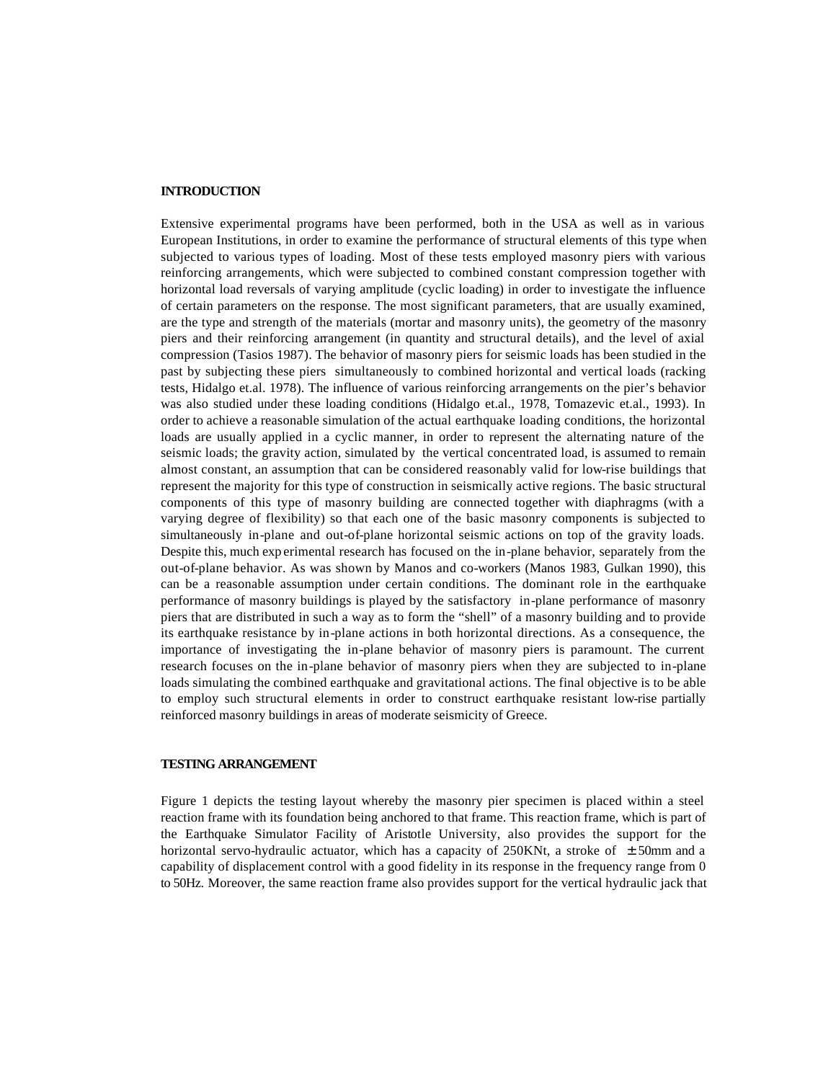## **INTRODUCTION**

Extensive experimental programs have been performed, both in the USA as well as in various European Institutions, in order to examine the performance of structural elements of this type when subjected to various types of loading. Most of these tests employed masonry piers with various reinforcing arrangements, which were subjected to combined constant compression together with horizontal load reversals of varying amplitude (cyclic loading) in order to investigate the influence of certain parameters on the response. The most significant parameters, that are usually examined, are the type and strength of the materials (mortar and masonry units), the geometry of the masonry piers and their reinforcing arrangement (in quantity and structural details), and the level of axial compression (Tasios 1987). The behavior of masonry piers for seismic loads has been studied in the past by subjecting these piers simultaneously to combined horizontal and vertical loads (racking tests, Hidalgo et.al. 1978). The influence of various reinforcing arrangements on the pier's behavior was also studied under these loading conditions (Hidalgo et.al., 1978, Tomazevic et.al., 1993). In order to achieve a reasonable simulation of the actual earthquake loading conditions, the horizontal loads are usually applied in a cyclic manner, in order to represent the alternating nature of the seismic loads; the gravity action, simulated by the vertical concentrated load, is assumed to remain almost constant, an assumption that can be considered reasonably valid for low-rise buildings that represent the majority for this type of construction in seismically active regions. The basic structural components of this type of masonry building are connected together with diaphragms (with a varying degree of flexibility) so that each one of the basic masonry components is subjected to simultaneously in-plane and out-of-plane horizontal seismic actions on top of the gravity loads. Despite this, much exp erimental research has focused on the in-plane behavior, separately from the out-of-plane behavior. As was shown by Manos and co-workers (Manos 1983, Gulkan 1990), this can be a reasonable assumption under certain conditions. The dominant role in the earthquake performance of masonry buildings is played by the satisfactory in-plane performance of masonry piers that are distributed in such a way as to form the "shell" of a masonry building and to provide its earthquake resistance by in-plane actions in both horizontal directions. As a consequence, the importance of investigating the in-plane behavior of masonry piers is paramount. The current research focuses on the in-plane behavior of masonry piers when they are subjected to in-plane loads simulating the combined earthquake and gravitational actions. The final objective is to be able to employ such structural elements in order to construct earthquake resistant low-rise partially reinforced masonry buildings in areas of moderate seismicity of Greece.

## **TESTING ARRANGEMENT**

Figure 1 depicts the testing layout whereby the masonry pier specimen is placed within a steel reaction frame with its foundation being anchored to that frame. This reaction frame, which is part of the Earthquake Simulator Facility of Aristotle University, also provides the support for the horizontal servo-hydraulic actuator, which has a capacity of 250KNt, a stroke of  $\pm$  50mm and a capability of displacement control with a good fidelity in its response in the frequency range from 0 to 50Hz. Moreover, the same reaction frame also provides support for the vertical hydraulic jack that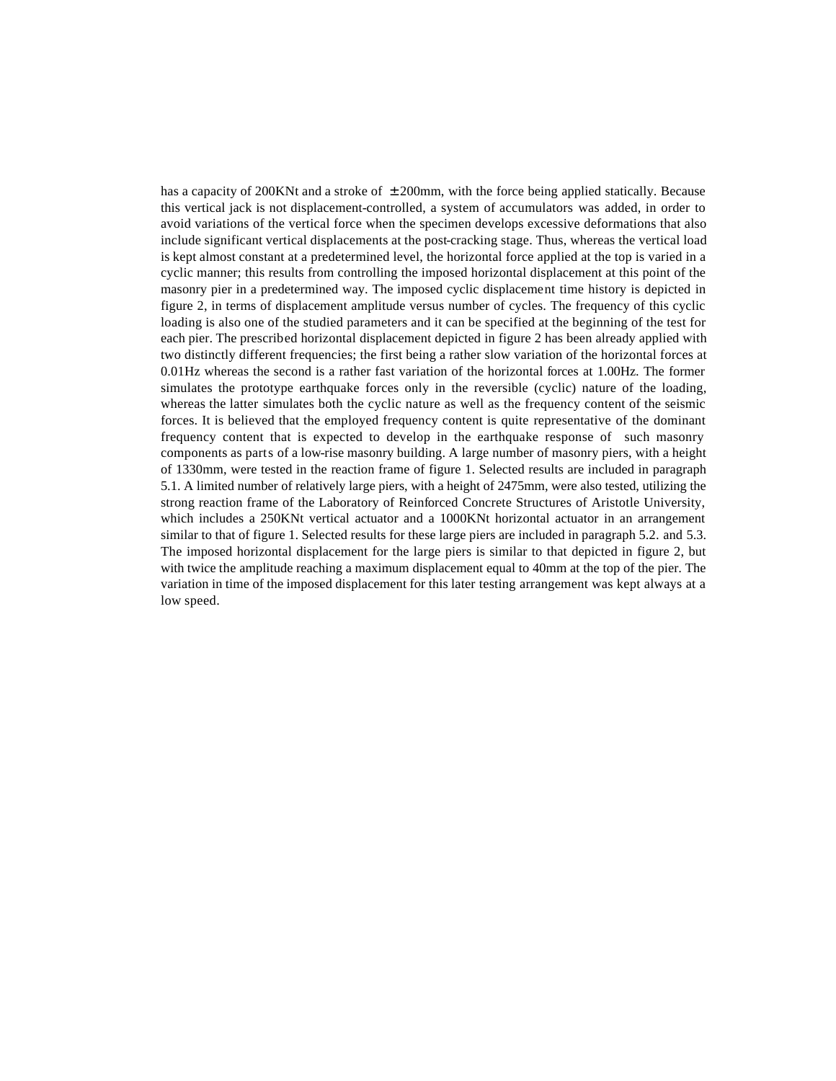has a capacity of 200KNt and a stroke of  $\pm$  200mm, with the force being applied statically. Because this vertical jack is not displacement-controlled, a system of accumulators was added, in order to avoid variations of the vertical force when the specimen develops excessive deformations that also include significant vertical displacements at the post-cracking stage. Thus, whereas the vertical load is kept almost constant at a predetermined level, the horizontal force applied at the top is varied in a cyclic manner; this results from controlling the imposed horizontal displacement at this point of the masonry pier in a predetermined way. The imposed cyclic displacement time history is depicted in figure 2, in terms of displacement amplitude versus number of cycles. The frequency of this cyclic loading is also one of the studied parameters and it can be specified at the beginning of the test for each pier. The prescribed horizontal displacement depicted in figure 2 has been already applied with two distinctly different frequencies; the first being a rather slow variation of the horizontal forces at 0.01Hz whereas the second is a rather fast variation of the horizontal forces at 1.00Hz. The former simulates the prototype earthquake forces only in the reversible (cyclic) nature of the loading, whereas the latter simulates both the cyclic nature as well as the frequency content of the seismic forces. It is believed that the employed frequency content is quite representative of the dominant frequency content that is expected to develop in the earthquake response of such masonry components as parts of a low-rise masonry building. A large number of masonry piers, with a height of 1330mm, were tested in the reaction frame of figure 1. Selected results are included in paragraph 5.1. A limited number of relatively large piers, with a height of 2475mm, were also tested, utilizing the strong reaction frame of the Laboratory of Reinforced Concrete Structures of Aristotle University, which includes a 250KNt vertical actuator and a 1000KNt horizontal actuator in an arrangement similar to that of figure 1. Selected results for these large piers are included in paragraph 5.2. and 5.3. The imposed horizontal displacement for the large piers is similar to that depicted in figure 2, but with twice the amplitude reaching a maximum displacement equal to 40mm at the top of the pier. The variation in time of the imposed displacement for this later testing arrangement was kept always at a low speed.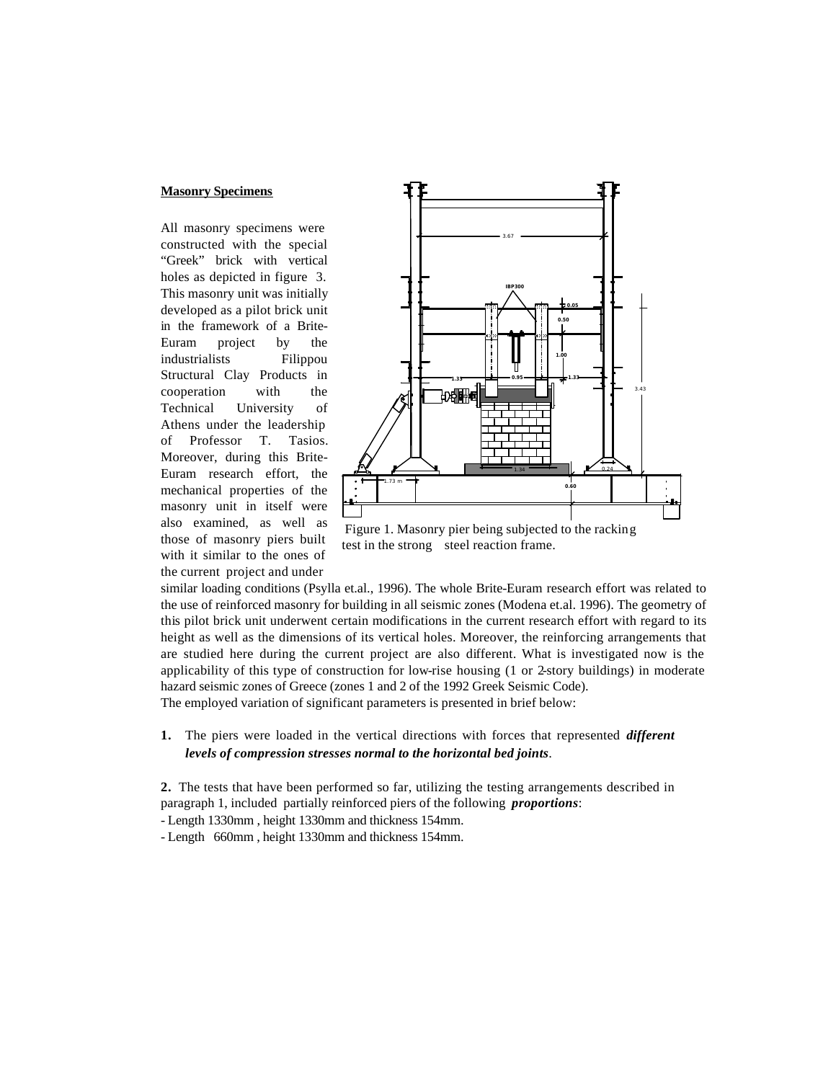## **Masonry Specimens**

All masonry specimens were constructed with the special "Greek" brick with vertical holes as depicted in figure 3. This masonry unit was initially developed as a pilot brick unit in the framework of a Brite-Euram project by the industrialists Filippou Structural Clay Products in cooperation with the Technical University of Athens under the leadership of Professor T. Tasios. Moreover, during this Brite-Euram research effort, the mechanical properties of the masonry unit in itself were also examined, as well as those of masonry piers built with it similar to the ones of the current project and under



 Figure 1. Masonry pier being subjected to the racking test in the strong steel reaction frame.

similar loading conditions (Psylla et.al., 1996). The whole Brite-Euram research effort was related to the use of reinforced masonry for building in all seismic zones (Modena et.al. 1996). The geometry of this pilot brick unit underwent certain modifications in the current research effort with regard to its height as well as the dimensions of its vertical holes. Moreover, the reinforcing arrangements that are studied here during the current project are also different. What is investigated now is the applicability of this type of construction for low-rise housing (1 or 2-story buildings) in moderate hazard seismic zones of Greece (zones 1 and 2 of the 1992 Greek Seismic Code).

The employed variation of significant parameters is presented in brief below:

**1.** The piers were loaded in the vertical directions with forces that represented *different levels of compression stresses normal to the horizontal bed joints*.

**2.** The tests that have been performed so far, utilizing the testing arrangements described in paragraph 1, included partially reinforced piers of the following *proportions*:

- Length 1330mm , height 1330mm and thickness 154mm.

- Length 660mm , height 1330mm and thickness 154mm.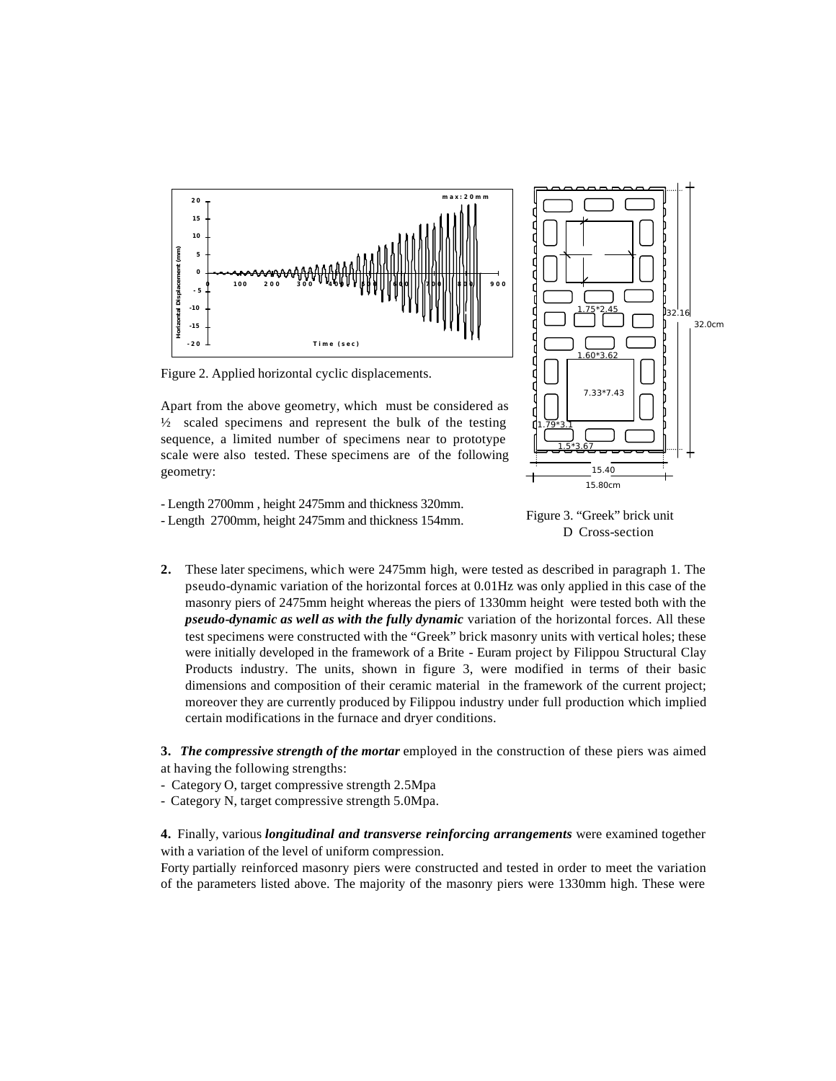

Figure 2. Applied horizontal cyclic displacements.

Apart from the above geometry, which must be considered as  $\frac{1}{2}$  scaled specimens and represent the bulk of the testing sequence, a limited number of specimens near to prototype scale were also tested. These specimens are of the following geometry:

- Length 2700mm , height 2475mm and thickness 320mm.

- Length 2700mm, height 2475mm and thickness 154mm.



Figure 3. "Greek" brick unit D Cross-section

**2.** These later specimens, which were 2475mm high, were tested as described in paragraph 1. The pseudo-dynamic variation of the horizontal forces at 0.01Hz was only applied in this case of the masonry piers of 2475mm height whereas the piers of 1330mm height were tested both with the *pseudo-dynamic as well as with the fully dynamic* variation of the horizontal forces. All these test specimens were constructed with the "Greek" brick masonry units with vertical holes; these were initially developed in the framework of a Brite - Euram project by Filippou Structural Clay Products industry. The units, shown in figure 3, were modified in terms of their basic dimensions and composition of their ceramic material in the framework of the current project; moreover they are currently produced by Filippou industry under full production which implied certain modifications in the furnace and dryer conditions.

**3.** *The compressive strength of the mortar* employed in the construction of these piers was aimed at having the following strengths:

- Category O, target compressive strength 2.5Mpa
- Category N, target compressive strength 5.0Mpa.

**4.** Finally, various *longitudinal and transverse reinforcing arrangements* were examined together with a variation of the level of uniform compression.

Forty partially reinforced masonry piers were constructed and tested in order to meet the variation of the parameters listed above. The majority of the masonry piers were 1330mm high. These were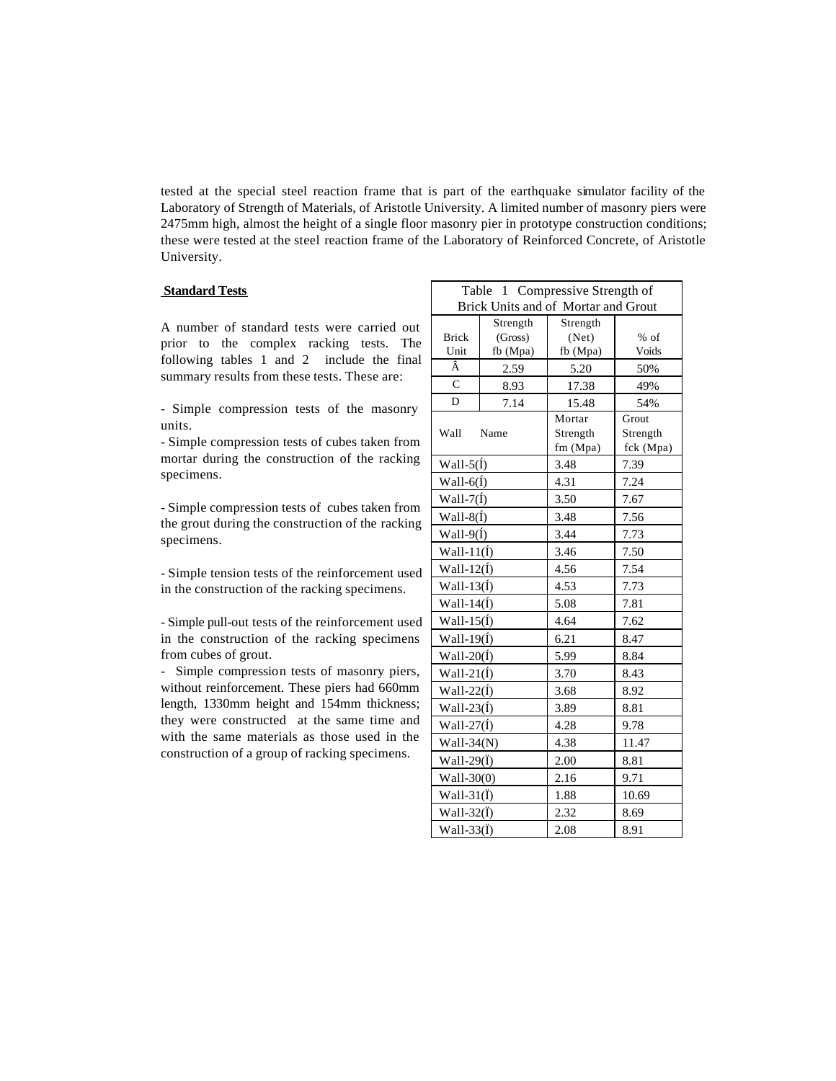tested at the special steel reaction frame that is part of the earthquake simulator facility of the Laboratory of Strength of Materials, of Aristotle University. A limited number of masonry piers were 2475mm high, almost the height of a single floor masonry pier in prototype construction conditions; these were tested at the steel reaction frame of the Laboratory of Reinforced Concrete, of Aristotle University.

## **Standard Tests**

A number of standard tests were carried out prior to the complex racking tests. The following tables 1 and 2 include the final summary results from these tests. These are:

- Simple compression tests of the masonry units.

- Simple compression tests of cubes taken from mortar during the construction of the racking specimens.

- Simple compression tests of cubes taken from the grout during the construction of the racking specimens.

- Simple tension tests of the reinforcement used in the construction of the racking specimens.

- Simple pull-out tests of the reinforcement used in the construction of the racking specimens from cubes of grout.

- Simple compression tests of masonry piers, without reinforcement. These piers had 660mm length, 1330mm height and 154mm thickness; they were constructed at the same time and with the same materials as those used in the construction of a group of racking specimens.

| Compressive Strength of<br>Table<br>1 |               |          |           |  |  |  |  |  |  |
|---------------------------------------|---------------|----------|-----------|--|--|--|--|--|--|
| Brick Units and of Mortar and Grout   |               |          |           |  |  |  |  |  |  |
|                                       | Strength      | Strength |           |  |  |  |  |  |  |
| <b>Brick</b>                          | (Gross)       | (Net)    | % of      |  |  |  |  |  |  |
| Unit                                  | fb (Mpa)      | fb (Mpa) | Voids     |  |  |  |  |  |  |
| Â                                     | 2.59          | 5.20     | 50%       |  |  |  |  |  |  |
| $\overline{C}$                        | 8.93          | 17.38    | 49%       |  |  |  |  |  |  |
| D                                     | 7.14          | 15.48    | 54%       |  |  |  |  |  |  |
|                                       |               | Mortar   | Grout     |  |  |  |  |  |  |
| Wall                                  | Name          | Strength | Strength  |  |  |  |  |  |  |
|                                       |               | fm (Mpa) | fck (Mpa) |  |  |  |  |  |  |
| Wall- $5(f)$                          |               | 3.48     | 7.39      |  |  |  |  |  |  |
| Wall- $6(f)$                          |               | 4.31     | 7.24      |  |  |  |  |  |  |
| Wall-7 $(f)$                          |               | 3.50     | 7.67      |  |  |  |  |  |  |
| Wall- $8(f)$                          |               | 3.48     | 7.56      |  |  |  |  |  |  |
| Wall-9(Í)                             |               | 3.44     | 7.73      |  |  |  |  |  |  |
| Wall- $11(f)$                         |               | 3.46     | 7.50      |  |  |  |  |  |  |
| Wall- $12(f)$                         |               | 4.56     | 7.54      |  |  |  |  |  |  |
| Wall- $13(f)$                         |               | 4.53     | 7.73      |  |  |  |  |  |  |
| Wall- $14(f)$                         |               | 5.08     | 7.81      |  |  |  |  |  |  |
| Wall- $15(f)$                         |               | 4.64     | 7.62      |  |  |  |  |  |  |
| Wall-19 $(f)$                         |               | 6.21     | 8.47      |  |  |  |  |  |  |
| Wall-20 $(j)$                         |               | 5.99     | 8.84      |  |  |  |  |  |  |
| Wall-21 $(f)$                         |               | 3.70     | 8.43      |  |  |  |  |  |  |
| Wall-22 $(f)$                         |               | 3.68     | 8.92      |  |  |  |  |  |  |
|                                       | Wall-23 $(f)$ |          | 8.81      |  |  |  |  |  |  |
| Wall-27 $(f)$                         |               | 4.28     | 9.78      |  |  |  |  |  |  |
| Wall-34 $(N)$                         |               | 4.38     | 11.47     |  |  |  |  |  |  |
| Wall-29(I)                            |               | 2.00     | 8.81      |  |  |  |  |  |  |
| $Wall-30(0)$                          |               | 2.16     | 9.71      |  |  |  |  |  |  |
| Wall- $31(\ddot{I})$                  |               | 1.88     | 10.69     |  |  |  |  |  |  |
| Wall-32(I)                            |               | 2.32     | 8.69      |  |  |  |  |  |  |
| Wall-33(Ï)                            |               | 2.08     | 8.91      |  |  |  |  |  |  |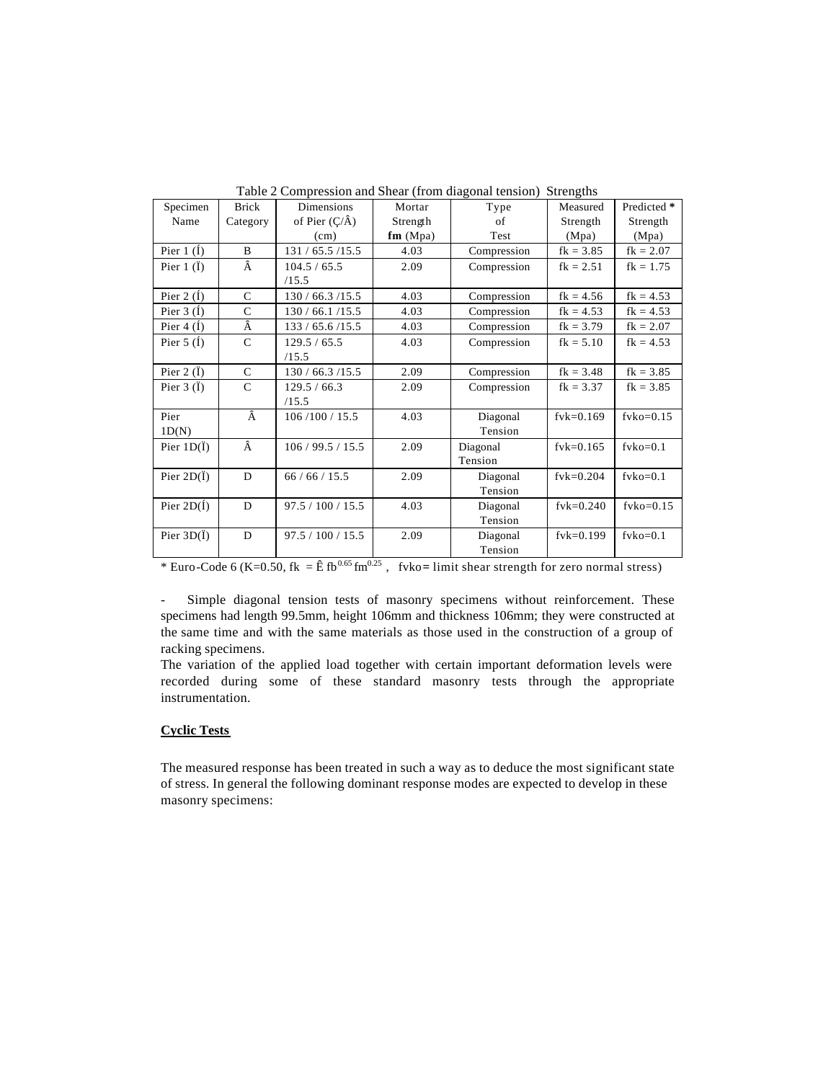| Specimen             | <b>Brick</b>  | <b>Dimensions</b>       | Mortar      | Type        | Measured        | Predicted *    |
|----------------------|---------------|-------------------------|-------------|-------------|-----------------|----------------|
| Name                 | Category      | of Pier $(\frac{C}{A})$ | Strength    | of          | Strength        | Strength       |
|                      |               | (cm)                    | $f m$ (Mpa) | Test        | (Mpa)           | (Mpa)          |
| Pier 1 $(f)$         | B             | 131 / 65.5 / 15.5       | 4.03        | Compression | $fk = 3.85$     | $fk = 2.07$    |
| Pier $1(\tilde{I})$  | Â             | 104.5 / 65.5            | 2.09        | Compression | $fk = 2.51$     | $fk = 1.75$    |
|                      |               | /15.5                   |             |             |                 |                |
| Pier 2 $(f)$         | $\mathcal{C}$ | 130/66.3/15.5           | 4.03        | Compression | $fk = 4.56$     | $fk = 4.53$    |
| Pier $3(f)$          | $\mathbf C$   | 130/66.1/15.5           | 4.03        | Compression | $fk = 4.53$     | $fk = 4.53$    |
| Pier 4 $(I)$         | Â             | 133 / 65.6 / 15.5       | 4.03        | Compression | $fk = 3.79$     | $fk = 2.07$    |
| Pier $5(f)$          | $\mathcal{C}$ | 129.5 / 65.5            | 4.03        | Compression | $fk = 5.10$     | $fk = 4.53$    |
|                      |               | /15.5                   |             |             |                 |                |
| Pier $2(\ddot{I})$   | $\mathcal{C}$ | 130/66.3/15.5           | 2.09        | Compression | $fk = 3.48$     | $fk = 3.85$    |
| Pier $3(\mathbf{I})$ | $\mathcal{C}$ | 129.5 / 66.3            | 2.09        | Compression | $fk = 3.37$     | $fk = 3.85$    |
|                      |               | /15.5                   |             |             |                 |                |
| Pier                 | Â             | 106/100/15.5            | 4.03        | Diagonal    | $f$ v $k=0.169$ | $f$ vko=0.15   |
| 1D(N)                |               |                         |             | Tension     |                 |                |
| Pier $1D(\ddot{I})$  | Â             | 106/99.5/15.5           | 2.09        | Diagonal    | $f$ v $k=0.165$ | $f$ v $ko=0.1$ |
|                      |               |                         |             | Tension     |                 |                |
| Pier $2D(\ddot{I})$  | D             | 66/66/15.5              | 2.09        | Diagonal    | $fvk = 0.204$   | $f$ v $ko=0.1$ |
|                      |               |                         |             | Tension     |                 |                |
| Pier $2D(f)$         | D             | 97.5 / 100 / 15.5       | 4.03        | Diagonal    | $f$ v $k=0.240$ | $f$ vko=0.15   |
|                      |               |                         |             | Tension     |                 |                |
| Pier $3D(\ddot{I})$  | D             | 97.5 / 100 / 15.5       | 2.09        | Diagonal    | $f$ v $k=0.199$ | $f$ v $ko=0.1$ |
|                      |               |                         |             | Tension     |                 |                |

Table 2 Compression and Shear (from diagonal tension) Strengths

\* Euro-Code 6 (K=0.50, fk =  $\hat{E}$  fb<sup>0.65</sup> fm<sup>0.25</sup>, fvko= limit shear strength for zero normal stress)

- Simple diagonal tension tests of masonry specimens without reinforcement. These specimens had length 99.5mm, height 106mm and thickness 106mm; they were constructed at the same time and with the same materials as those used in the construction of a group of racking specimens.

The variation of the applied load together with certain important deformation levels were recorded during some of these standard masonry tests through the appropriate instrumentation.

## **Cyclic Tests**

The measured response has been treated in such a way as to deduce the most significant state of stress. In general the following dominant response modes are expected to develop in these masonry specimens: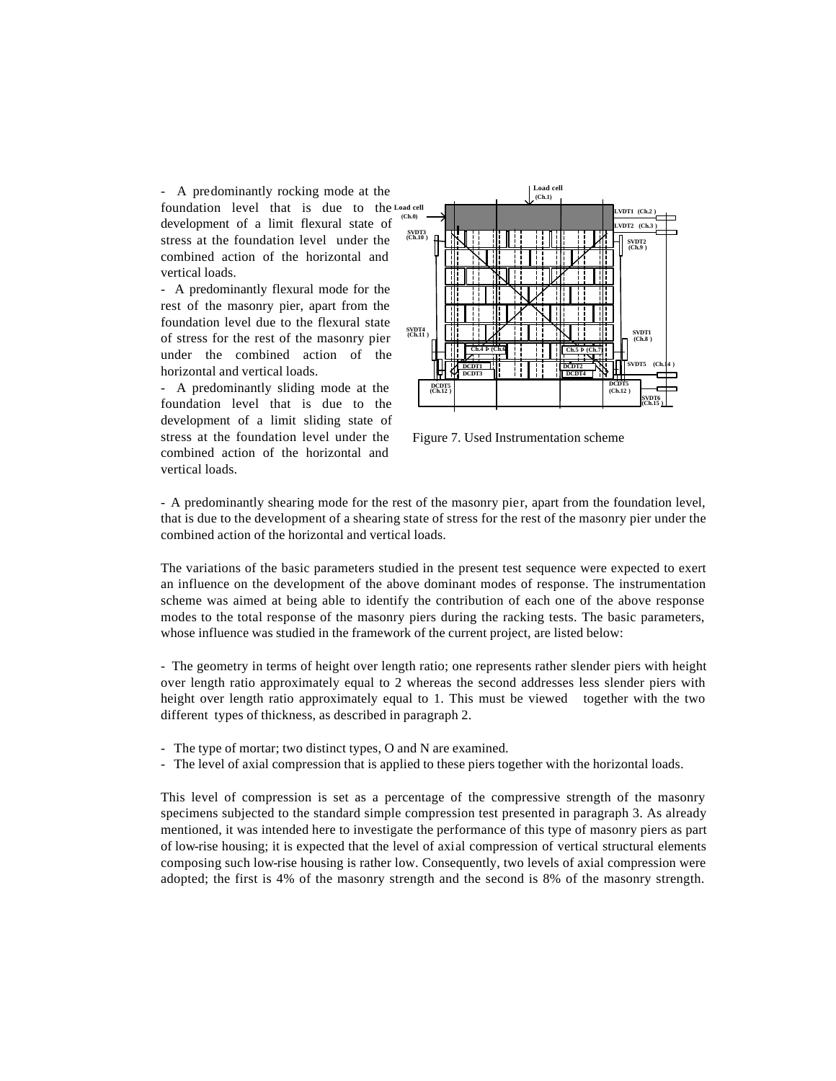- A predominantly rocking mode at the foundation level that is due to the **Load cell** development of a limit flexural state of stress at the foundation level under the combined action of the horizontal and vertical loads.

- A predominantly flexural mode for the rest of the masonry pier, apart from the foundation level due to the flexural state of stress for the rest of the masonry pier under the combined action of the horizontal and vertical loads.

- A predominantly sliding mode at the foundation level that is due to the development of a limit sliding state of stress at the foundation level under the combined action of the horizontal and vertical loads.



Figure 7. Used Instrumentation scheme

- A predominantly shearing mode for the rest of the masonry pier, apart from the foundation level, that is due to the development of a shearing state of stress for the rest of the masonry pier under the combined action of the horizontal and vertical loads.

The variations of the basic parameters studied in the present test sequence were expected to exert an influence on the development of the above dominant modes of response. The instrumentation scheme was aimed at being able to identify the contribution of each one of the above response modes to the total response of the masonry piers during the racking tests. The basic parameters, whose influence was studied in the framework of the current project, are listed below:

- The geometry in terms of height over length ratio; one represents rather slender piers with height over length ratio approximately equal to 2 whereas the second addresses less slender piers with height over length ratio approximately equal to 1. This must be viewed together with the two different types of thickness, as described in paragraph 2.

- The type of mortar; two distinct types, O and N are examined.
- The level of axial compression that is applied to these piers together with the horizontal loads.

This level of compression is set as a percentage of the compressive strength of the masonry specimens subjected to the standard simple compression test presented in paragraph 3. As already mentioned, it was intended here to investigate the performance of this type of masonry piers as part of low-rise housing; it is expected that the level of axial compression of vertical structural elements composing such low-rise housing is rather low. Consequently, two levels of axial compression were adopted; the first is 4% of the masonry strength and the second is 8% of the masonry strength.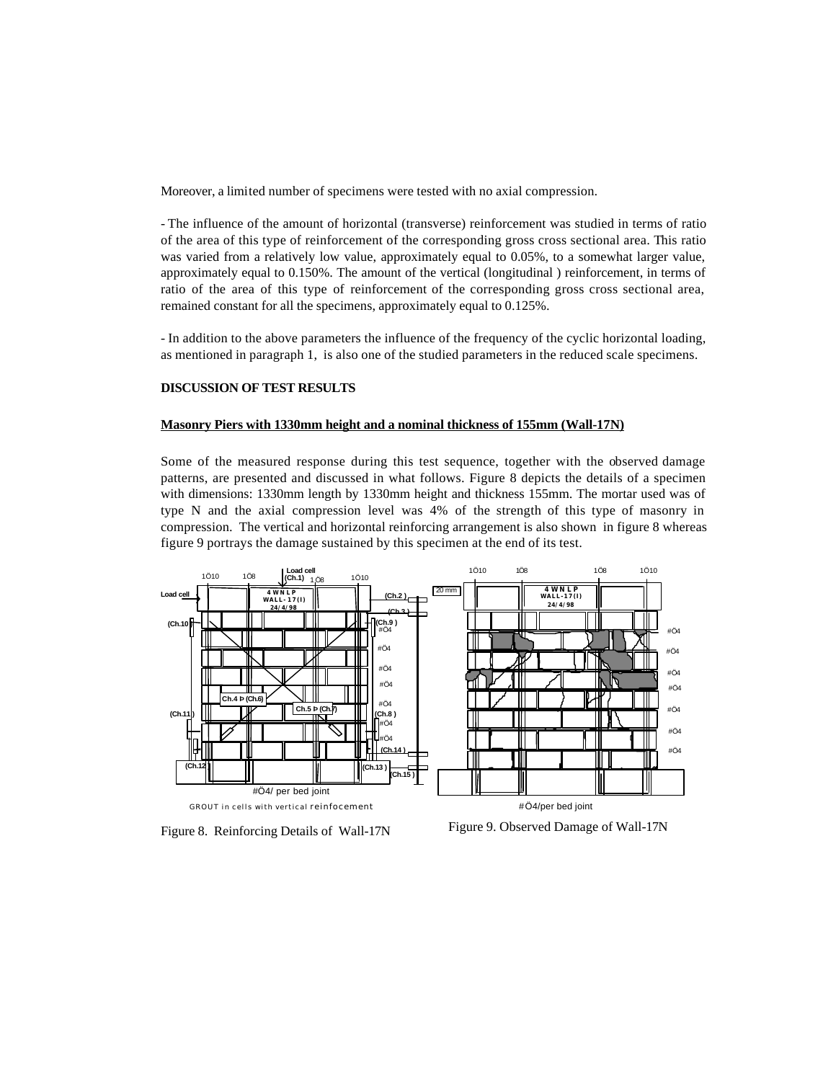Moreover, a limited number of specimens were tested with no axial compression.

- The influence of the amount of horizontal (transverse) reinforcement was studied in terms of ratio of the area of this type of reinforcement of the corresponding gross cross sectional area. This ratio was varied from a relatively low value, approximately equal to 0.05%, to a somewhat larger value, approximately equal to 0.150%. The amount of the vertical (longitudinal ) reinforcement, in terms of ratio of the area of this type of reinforcement of the corresponding gross cross sectional area, remained constant for all the specimens, approximately equal to 0.125%.

- In addition to the above parameters the influence of the frequency of the cyclic horizontal loading, as mentioned in paragraph 1, is also one of the studied parameters in the reduced scale specimens.

## **DISCUSSION OF TEST RESULTS**

## **Masonry Piers with 1330mm height and a nominal thickness of 155mm (Wall-17N)**

Some of the measured response during this test sequence, together with the observed damage patterns, are presented and discussed in what follows. Figure 8 depicts the details of a specimen with dimensions: 1330mm length by 1330mm height and thickness 155mm. The mortar used was of type N and the axial compression level was 4% of the strength of this type of masonry in compression. The vertical and horizontal reinforcing arrangement is also shown in figure 8 whereas figure 9 portrays the damage sustained by this specimen at the end of its test.



Figure 8. Reinforcing Details of Wall-17N

Figure 9. Observed Damage of Wall-17N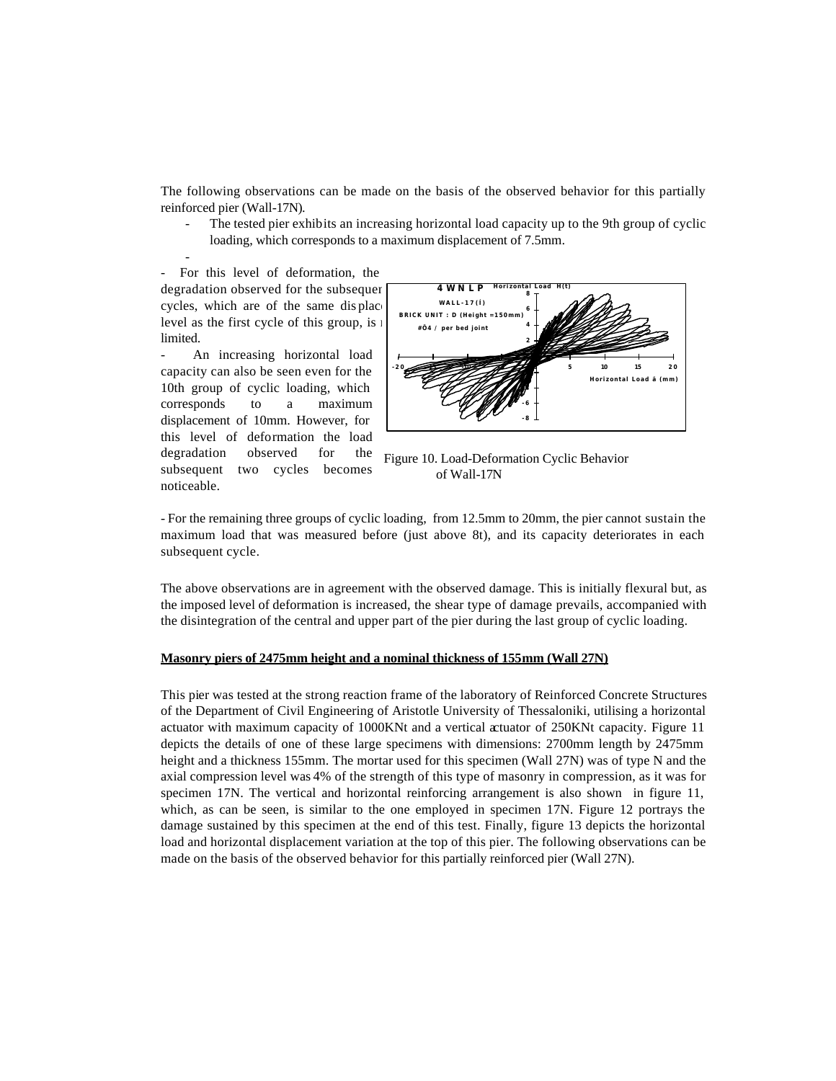The following observations can be made on the basis of the observed behavior for this partially reinforced pier (Wall-17N).

The tested pier exhibits an increasing horizontal load capacity up to the 9th group of cyclic loading, which corresponds to a maximum displacement of 7.5mm.

- For this level of deformation, the degradation observed for the subsequer cycles, which are of the same displacelevel as the first cycle of this group, is  $\frac{1}{1}$ limited.

- An increasing horizontal load capacity can also be seen even for the 10th group of cyclic loading, which corresponds to a maximum displacement of 10mm. However, for this level of deformation the load degradation observed for the subsequent two cycles becomes noticeable.



Figure 10. Load-Deformation Cyclic Behavior of Wall-17N

- For the remaining three groups of cyclic loading, from 12.5mm to 20mm, the pier cannot sustain the maximum load that was measured before (just above 8t), and its capacity deteriorates in each subsequent cycle.

The above observations are in agreement with the observed damage. This is initially flexural but, as the imposed level of deformation is increased, the shear type of damage prevails, accompanied with the disintegration of the central and upper part of the pier during the last group of cyclic loading.

## **Masonry piers of 2475mm height and a nominal thickness of 155mm (Wall 27N)**

This pier was tested at the strong reaction frame of the laboratory of Reinforced Concrete Structures of the Department of Civil Engineering of Aristotle University of Thessaloniki, utilising a horizontal actuator with maximum capacity of 1000KNt and a vertical actuator of 250KNt capacity. Figure 11 depicts the details of one of these large specimens with dimensions: 2700mm length by 2475mm height and a thickness 155mm. The mortar used for this specimen (Wall 27N) was of type N and the axial compression level was 4% of the strength of this type of masonry in compression, as it was for specimen 17N. The vertical and horizontal reinforcing arrangement is also shown in figure 11, which, as can be seen, is similar to the one employed in specimen 17N. Figure 12 portrays the damage sustained by this specimen at the end of this test. Finally, figure 13 depicts the horizontal load and horizontal displacement variation at the top of this pier. The following observations can be made on the basis of the observed behavior for this partially reinforced pier (Wall 27N).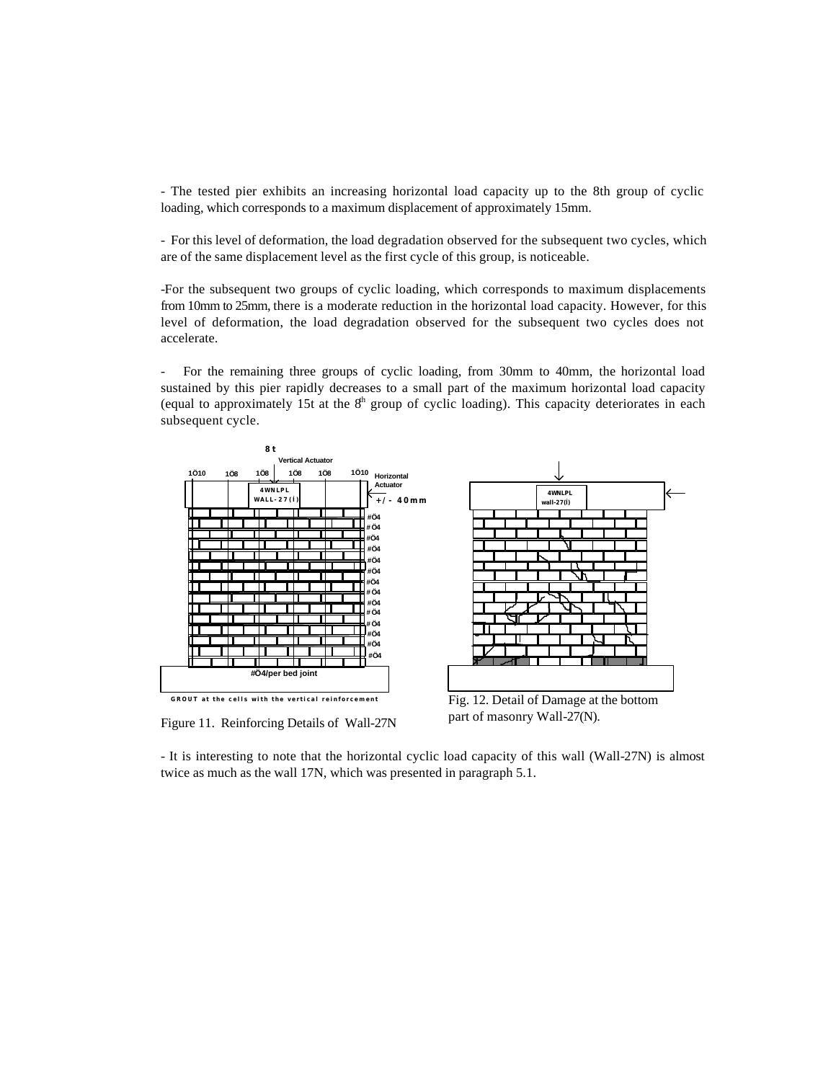- The tested pier exhibits an increasing horizontal load capacity up to the 8th group of cyclic loading, which corresponds to a maximum displacement of approximately 15mm.

- For this level of deformation, the load degradation observed for the subsequent two cycles, which are of the same displacement level as the first cycle of this group, is noticeable.

-For the subsequent two groups of cyclic loading, which corresponds to maximum displacements from 10mm to 25mm, there is a moderate reduction in the horizontal load capacity. However, for this level of deformation, the load degradation observed for the subsequent two cycles does not accelerate.

- For the remaining three groups of cyclic loading, from 30mm to 40mm, the horizontal load sustained by this pier rapidly decreases to a small part of the maximum horizontal load capacity (equal to approximately 15t at the  $8<sup>th</sup>$  group of cyclic loading). This capacity deteriorates in each subsequent cycle.



Figure 11. Reinforcing Details of Wall-27N

part of masonry Wall-27(N).

- It is interesting to note that the horizontal cyclic load capacity of this wall (Wall-27N) is almost twice as much as the wall 17N, which was presented in paragraph 5.1.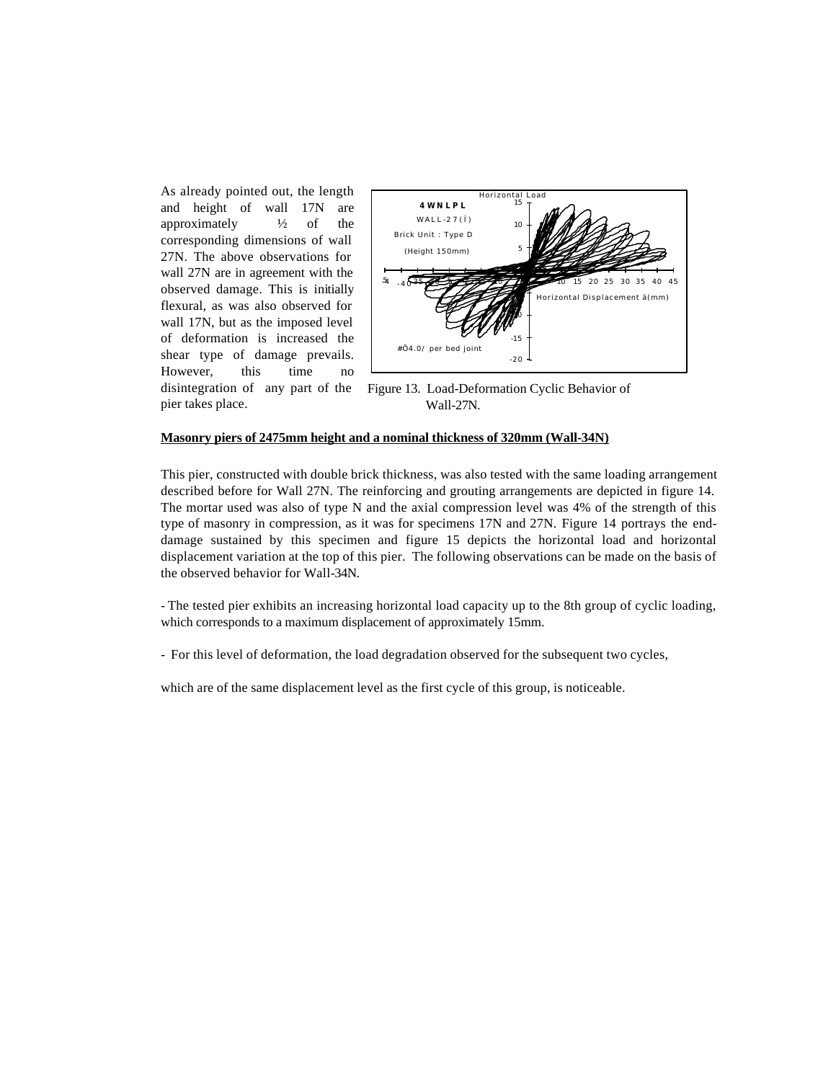As already pointed out, the length and height of wall 17N are approximately  $\frac{1}{2}$  of the corresponding dimensions of wall 27N. The above observations for wall 27N are in agreement with the observed damage. This is initially flexural, as was also observed for wall 17N, but as the imposed level of deformation is increased the shear type of damage prevails. However, this time no disintegration of any part of the pier takes place.



 Figure 13. Load-Deformation Cyclic Behavior of Wall-27N.

## **Masonry piers of 2475mm height and a nominal thickness of 320mm (Wall-34N)**

This pier, constructed with double brick thickness, was also tested with the same loading arrangement described before for Wall 27N. The reinforcing and grouting arrangements are depicted in figure 14. The mortar used was also of type N and the axial compression level was 4% of the strength of this type of masonry in compression, as it was for specimens 17N and 27N. Figure 14 portrays the enddamage sustained by this specimen and figure 15 depicts the horizontal load and horizontal displacement variation at the top of this pier. The following observations can be made on the basis of the observed behavior for Wall-34N.

- The tested pier exhibits an increasing horizontal load capacity up to the 8th group of cyclic loading, which corresponds to a maximum displacement of approximately 15mm.

- For this level of deformation, the load degradation observed for the subsequent two cycles,

which are of the same displacement level as the first cycle of this group, is noticeable.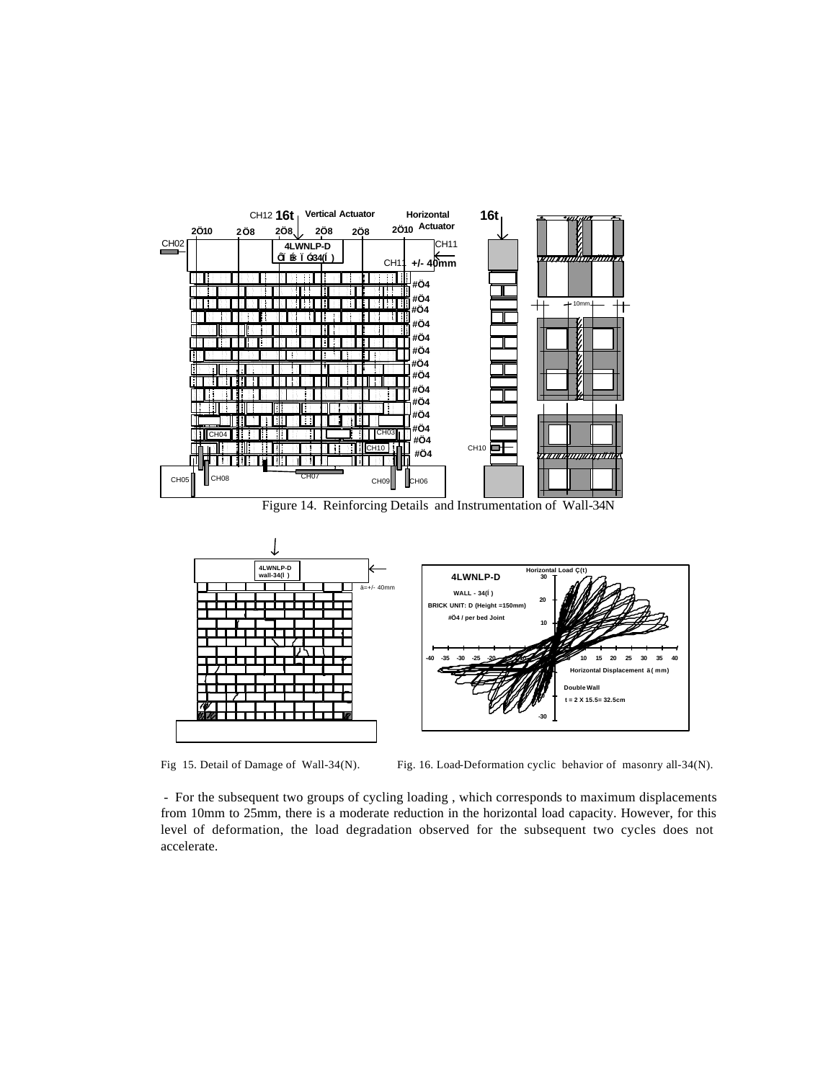

Figure 14. Reinforcing Details and Instrumentation of Wall-34N



Fig 15. Detail of Damage of Wall-34(N). Fig. 16. Load-Deformation cyclic behavior of masonry all-34(N).

- For the subsequent two groups of cycling loading , which corresponds to maximum displacements from 10mm to 25mm, there is a moderate reduction in the horizontal load capacity. However, for this level of deformation, the load degradation observed for the subsequent two cycles does not accelerate.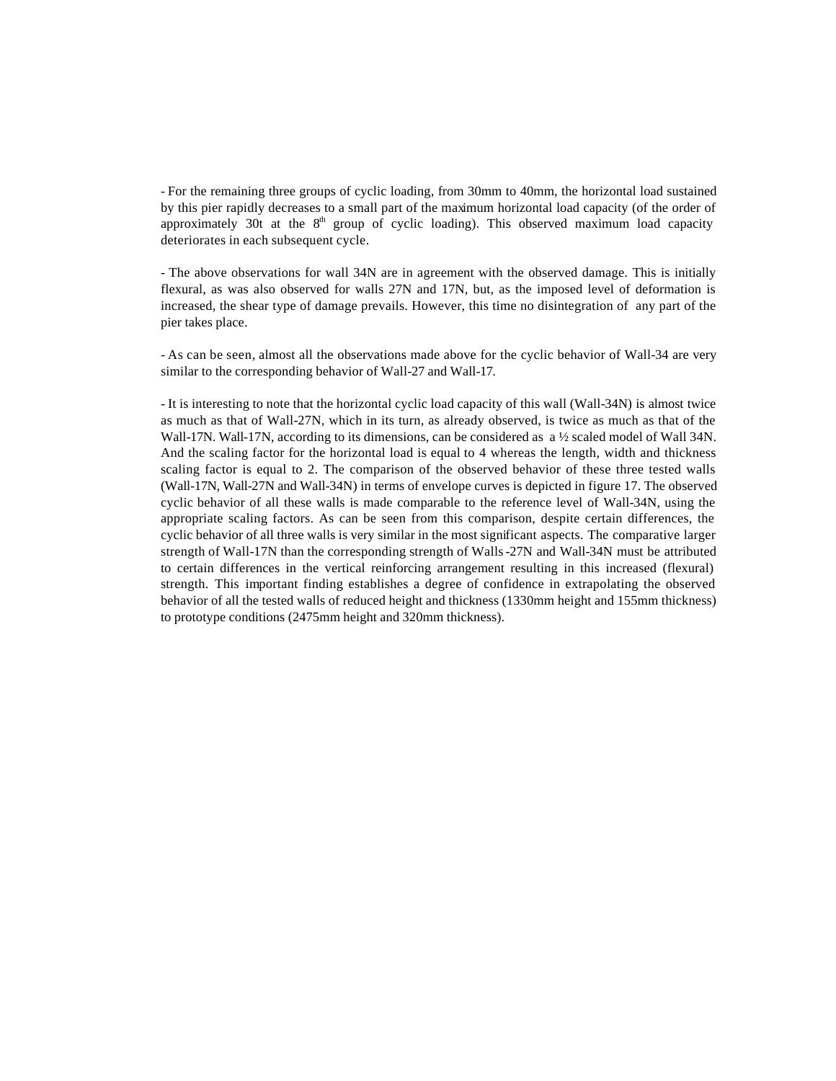- For the remaining three groups of cyclic loading, from 30mm to 40mm, the horizontal load sustained by this pier rapidly decreases to a small part of the maximum horizontal load capacity (of the order of approximately 30t at the  $8<sup>th</sup>$  group of cyclic loading). This observed maximum load capacity deteriorates in each subsequent cycle.

- The above observations for wall 34N are in agreement with the observed damage. This is initially flexural, as was also observed for walls 27N and 17N, but, as the imposed level of deformation is increased, the shear type of damage prevails. However, this time no disintegration of any part of the pier takes place.

- As can be seen, almost all the observations made above for the cyclic behavior of Wall-34 are very similar to the corresponding behavior of Wall-27 and Wall-17.

- It is interesting to note that the horizontal cyclic load capacity of this wall (Wall-34N) is almost twice as much as that of Wall-27N, which in its turn, as already observed, is twice as much as that of the Wall-17N. Wall-17N, according to its dimensions, can be considered as a ½ scaled model of Wall 34N. And the scaling factor for the horizontal load is equal to 4 whereas the length, width and thickness scaling factor is equal to 2. The comparison of the observed behavior of these three tested walls (Wall-17N, Wall-27N and Wall-34N) in terms of envelope curves is depicted in figure 17. The observed cyclic behavior of all these walls is made comparable to the reference level of Wall-34N, using the appropriate scaling factors. As can be seen from this comparison, despite certain differences, the cyclic behavior of all three walls is very similar in the most significant aspects. The comparative larger strength of Wall-17N than the corresponding strength of Walls-27N and Wall-34N must be attributed to certain differences in the vertical reinforcing arrangement resulting in this increased (flexural) strength. This important finding establishes a degree of confidence in extrapolating the observed behavior of all the tested walls of reduced height and thickness (1330mm height and 155mm thickness) to prototype conditions (2475mm height and 320mm thickness).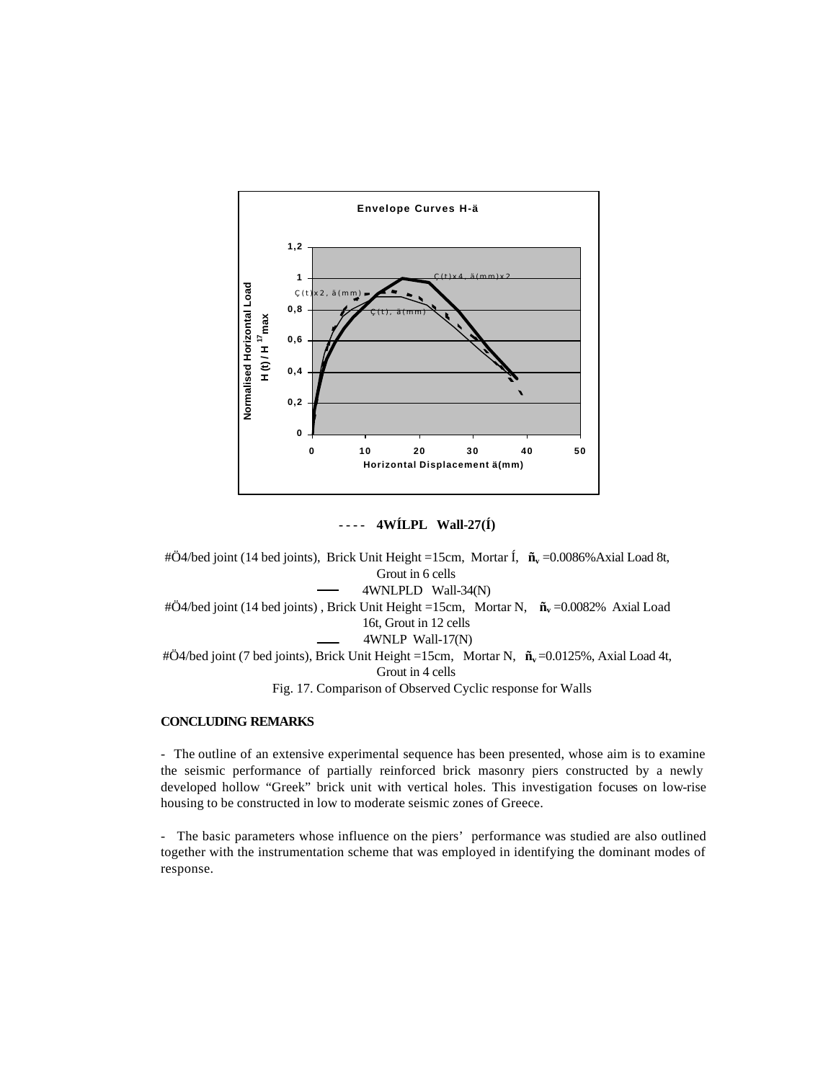

**- - - - 4WÍLPL Wall-27(Í)**

#Ö4/bed joint (14 bed joints), Brick Unit Height =15cm, Mortar Í, **ñv** =0.0086%Axial Load 8t, Grout in 6 cells 4WNLPLD Wall-34(N) #Ö4/bed joint (14 bed joints) , Brick Unit Height =15cm, Mortar N, **ñv** =0.0082% Axial Load 16t, Grout in 12 cells 4WNLP Wall-17(N) #Ö4/bed joint (7 bed joints), Brick Unit Height =15cm, Mortar N, **ñv** =0.0125%, Axial Load 4t, Grout in 4 cells Fig. 17. Comparison of Observed Cyclic response for Walls

# **CONCLUDING REMARKS**

- The outline of an extensive experimental sequence has been presented, whose aim is to examine the seismic performance of partially reinforced brick masonry piers constructed by a newly developed hollow "Greek" brick unit with vertical holes. This investigation focuses on low-rise housing to be constructed in low to moderate seismic zones of Greece.

- The basic parameters whose influence on the piers' performance was studied are also outlined together with the instrumentation scheme that was employed in identifying the dominant modes of response.